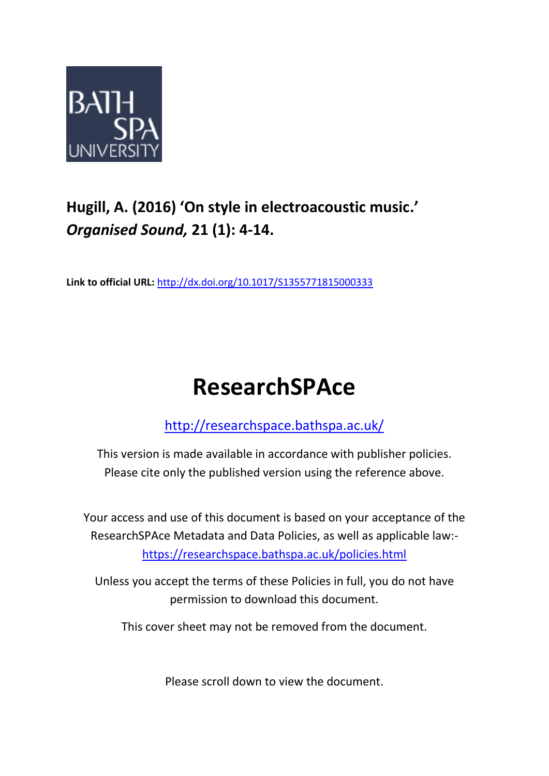

## **Hugill, A. (2016) 'On style in electroacoustic music.'** *Organised Sound,* **21 (1): 4-14.**

**Link to official URL:** <http://dx.doi.org/10.1017/S1355771815000333>

# **ResearchSPAce**

<http://researchspace.bathspa.ac.uk/>

This version is made available in accordance with publisher policies. Please cite only the published version using the reference above.

Your access and use of this document is based on your acceptance of the ResearchSPAce Metadata and Data Policies, as well as applicable law: https://researchspace.bathspa.ac.uk/policies.html

Unless you accept the terms of these Policies in full, you do not have permission to download this document.

This cover sheet may not be removed from the document.

Please scroll down to view the document.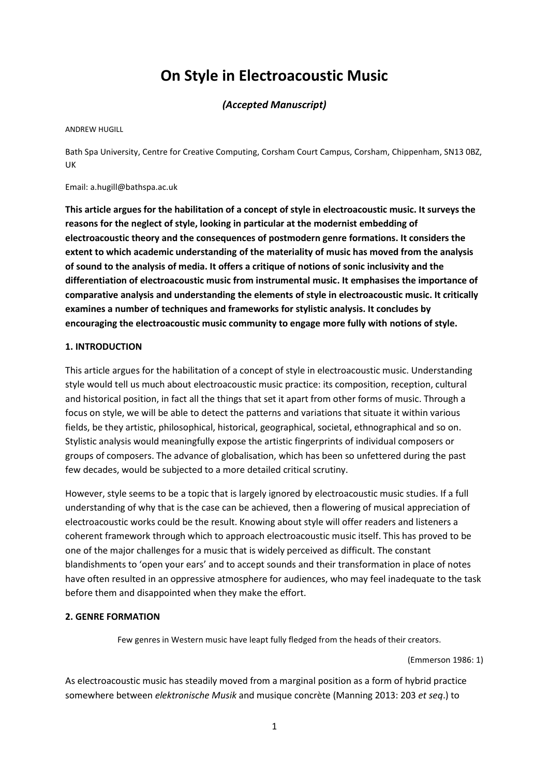### **On Style in Electroacoustic Music**

#### *(Accepted Manuscript)*

#### **ANDREW HUGILL**

Bath Spa University, Centre for Creative Computing, Corsham Court Campus, Corsham, Chippenham, SN13 0BZ, UK

#### Email: a.hugill@bathspa.ac.uk

**This article argues for the habilitation of a concept of style in electroacoustic music. It surveys the reasons for the neglect of style, looking in particular at the modernist embedding of electroacoustic theory and the consequences of postmodern genre formations. It considers the extent to which academic understanding of the materiality of music has moved from the analysis of sound to the analysis of media. It offers a critique of notions of sonic inclusivity and the differentiation of electroacoustic music from instrumental music. It emphasises the importance of comparative analysis and understanding the elements of style in electroacoustic music. It critically examines a number of techniques and frameworks for stylistic analysis. It concludes by encouraging the electroacoustic music community to engage more fully with notions of style.**

#### **1. INTRODUCTION**

This article argues for the habilitation of a concept of style in electroacoustic music. Understanding style would tell us much about electroacoustic music practice: its composition, reception, cultural and historical position, in fact all the things that set it apart from other forms of music. Through a focus on style, we will be able to detect the patterns and variations that situate it within various fields, be they artistic, philosophical, historical, geographical, societal, ethnographical and so on. Stylistic analysis would meaningfully expose the artistic fingerprints of individual composers or groups of composers. The advance of globalisation, which has been so unfettered during the past few decades, would be subjected to a more detailed critical scrutiny.

However, style seems to be a topic that is largely ignored by electroacoustic music studies. If a full understanding of why that is the case can be achieved, then a flowering of musical appreciation of electroacoustic works could be the result. Knowing about style will offer readers and listeners a coherent framework through which to approach electroacoustic music itself. This has proved to be one of the major challenges for a music that is widely perceived as difficult. The constant blandishments to 'open your ears' and to accept sounds and their transformation in place of notes have often resulted in an oppressive atmosphere for audiences, who may feel inadequate to the task before them and disappointed when they make the effort.

#### **2. GENRE FORMATION**

Few genres in Western music have leapt fully fledged from the heads of their creators.

(Emmerson 1986: 1)

As electroacoustic music has steadily moved from a marginal position as a form of hybrid practice somewhere between *elektronische Musik* and musique concrète (Manning 2013: 203 *et seq*.) to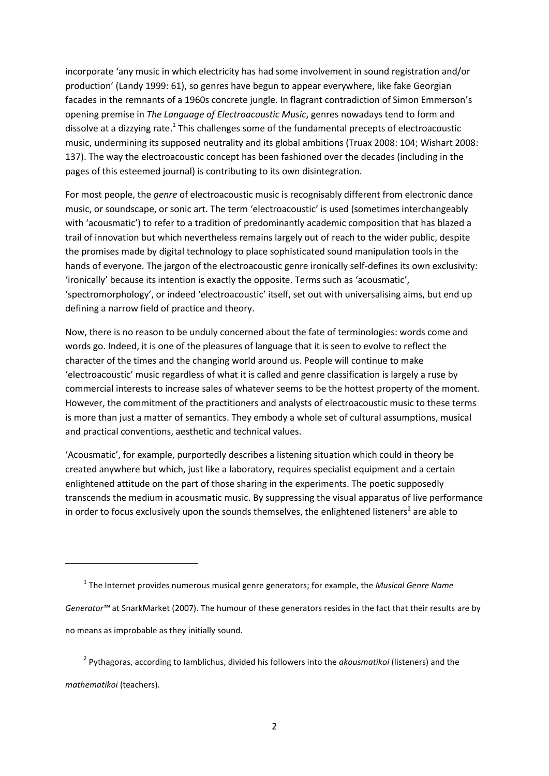incorporate 'any music in which electricity has had some involvement in sound registration and/or production' (Landy 1999: 61), so genres have begun to appear everywhere, like fake Georgian facades in the remnants of a 1960s concrete jungle. In flagrant contradiction of Simon Emmerson's opening premise in *The Language of Electroacoustic Music*, genres nowadays tend to form and dissolve at a dizzying rate.<sup>1</sup> This challenges some of the fundamental precepts of electroacoustic music, undermining its supposed neutrality and its global ambitions (Truax 2008: 104; Wishart 2008: 137). The way the electroacoustic concept has been fashioned over the decades (including in the pages of this esteemed journal) is contributing to its own disintegration.

For most people, the *genre* of electroacoustic music is recognisably different from electronic dance music, or soundscape, or sonic art. The term 'electroacoustic' is used (sometimes interchangeably with 'acousmatic') to refer to a tradition of predominantly academic composition that has blazed a trail of innovation but which nevertheless remains largely out of reach to the wider public, despite the promises made by digital technology to place sophisticated sound manipulation tools in the hands of everyone. The jargon of the electroacoustic genre ironically self-defines its own exclusivity: 'ironically' because its intention is exactly the opposite. Terms such as 'acousmatic', 'spectromorphology', or indeed 'electroacoustic' itself, set out with universalising aims, but end up defining a narrow field of practice and theory.

Now, there is no reason to be unduly concerned about the fate of terminologies: words come and words go. Indeed, it is one of the pleasures of language that it is seen to evolve to reflect the character of the times and the changing world around us. People will continue to make 'electroacoustic' music regardless of what it is called and genre classification is largely a ruse by commercial interests to increase sales of whatever seems to be the hottest property of the moment*.*  However, the commitment of the practitioners and analysts of electroacoustic music to these terms is more than just a matter of semantics. They embody a whole set of cultural assumptions, musical and practical conventions, aesthetic and technical values.

'Acousmatic', for example, purportedly describes a listening situation which could in theory be created anywhere but which, just like a laboratory, requires specialist equipment and a certain enlightened attitude on the part of those sharing in the experiments. The poetic supposedly transcends the medium in acousmatic music. By suppressing the visual apparatus of live performance in order to focus exclusively upon the sounds themselves, the enlightened listeners<sup>2</sup> are able to

 $\overline{a}$ 

<sup>1</sup> The Internet provides numerous musical genre generators; for example, the *Musical Genre Name Generator™* at SnarkMarket (2007). The humour of these generators resides in the fact that their results are by no means as improbable as they initially sound.

<sup>2</sup> Pythagoras, according to Iamblichus, divided his followers into the *akousmatikoi* (listeners) and the *mathematikoi* (teachers).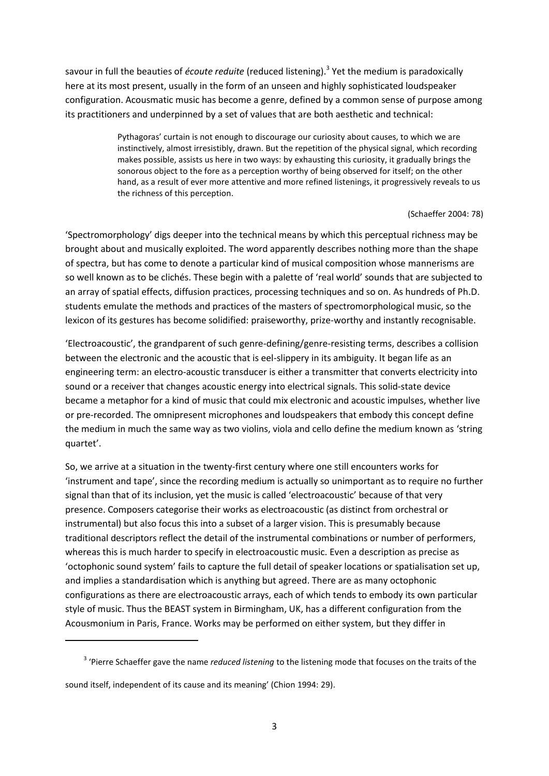savour in full the beauties of *écoute reduite* (reduced listening). 3 Yet the medium is paradoxically here at its most present, usually in the form of an unseen and highly sophisticated loudspeaker configuration. Acousmatic music has become a genre, defined by a common sense of purpose among its practitioners and underpinned by a set of values that are both aesthetic and technical:

> Pythagoras' curtain is not enough to discourage our curiosity about causes, to which we are instinctively, almost irresistibly, drawn. But the repetition of the physical signal, which recording makes possible, assists us here in two ways: by exhausting this curiosity, it gradually brings the sonorous object to the fore as a perception worthy of being observed for itself; on the other hand, as a result of ever more attentive and more refined listenings, it progressively reveals to us the richness of this perception.

#### (Schaeffer 2004: 78)

'Spectromorphology' digs deeper into the technical means by which this perceptual richness may be brought about and musically exploited. The word apparently describes nothing more than the shape of spectra, but has come to denote a particular kind of musical composition whose mannerisms are so well known as to be clichés. These begin with a palette of 'real world' sounds that are subjected to an array of spatial effects, diffusion practices, processing techniques and so on. As hundreds of Ph.D. students emulate the methods and practices of the masters of spectromorphological music, so the lexicon of its gestures has become solidified: praiseworthy, prize-worthy and instantly recognisable.

'Electroacoustic', the grandparent of such genre-defining/genre-resisting terms, describes a collision between the electronic and the acoustic that is eel-slippery in its ambiguity. It began life as an engineering term: an electro-acoustic transducer is either a transmitter that converts electricity into sound or a receiver that changes acoustic energy into electrical signals. This solid-state device became a metaphor for a kind of music that could mix electronic and acoustic impulses, whether live or pre-recorded. The omnipresent microphones and loudspeakers that embody this concept define the medium in much the same way as two violins, viola and cello define the medium known as 'string quartet'.

So, we arrive at a situation in the twenty-first century where one still encounters works for 'instrument and tape', since the recording medium is actually so unimportant as to require no further signal than that of its inclusion, yet the music is called 'electroacoustic' because of that very presence. Composers categorise their works as electroacoustic (as distinct from orchestral or instrumental) but also focus this into a subset of a larger vision. This is presumably because traditional descriptors reflect the detail of the instrumental combinations or number of performers, whereas this is much harder to specify in electroacoustic music. Even a description as precise as 'octophonic sound system' fails to capture the full detail of speaker locations or spatialisation set up, and implies a standardisation which is anything but agreed. There are as many octophonic configurations as there are electroacoustic arrays, each of which tends to embody its own particular style of music. Thus the BEAST system in Birmingham, UK, has a different configuration from the Acousmonium in Paris, France. Works may be performed on either system, but they differ in

<sup>3</sup> 'Pierre Schaeffer gave the name *reduced listening* to the listening mode that focuses on the traits of the sound itself, independent of its cause and its meaning' (Chion 1994: 29).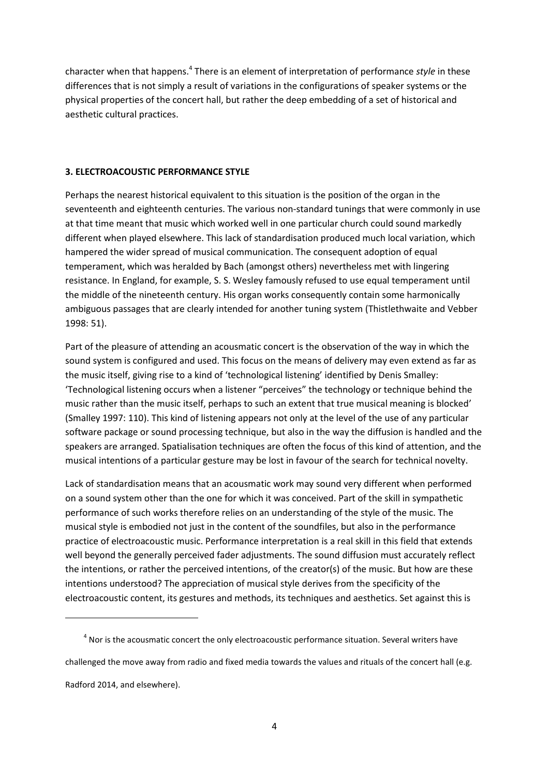character when that happens.<sup>4</sup> There is an element of interpretation of performance *style* in these differences that is not simply a result of variations in the configurations of speaker systems or the physical properties of the concert hall, but rather the deep embedding of a set of historical and aesthetic cultural practices.

#### **3. ELECTROACOUSTIC PERFORMANCE STYLE**

**.** 

Perhaps the nearest historical equivalent to this situation is the position of the organ in the seventeenth and eighteenth centuries. The various non-standard tunings that were commonly in use at that time meant that music which worked well in one particular church could sound markedly different when played elsewhere. This lack of standardisation produced much local variation, which hampered the wider spread of musical communication. The consequent adoption of equal temperament, which was heralded by Bach (amongst others) nevertheless met with lingering resistance. In England, for example, S. S. Wesley famously refused to use equal temperament until the middle of the nineteenth century. His organ works consequently contain some harmonically ambiguous passages that are clearly intended for another tuning system (Thistlethwaite and Vebber 1998: 51).

Part of the pleasure of attending an acousmatic concert is the observation of the way in which the sound system is configured and used. This focus on the means of delivery may even extend as far as the music itself, giving rise to a kind of 'technological listening' identified by Denis Smalley: 'Technological listening occurs when a listener "perceives" the technology or technique behind the music rather than the music itself, perhaps to such an extent that true musical meaning is blocked' (Smalley 1997: 110). This kind of listening appears not only at the level of the use of any particular software package or sound processing technique, but also in the way the diffusion is handled and the speakers are arranged. Spatialisation techniques are often the focus of this kind of attention, and the musical intentions of a particular gesture may be lost in favour of the search for technical novelty.

Lack of standardisation means that an acousmatic work may sound very different when performed on a sound system other than the one for which it was conceived. Part of the skill in sympathetic performance of such works therefore relies on an understanding of the style of the music. The musical style is embodied not just in the content of the soundfiles, but also in the performance practice of electroacoustic music. Performance interpretation is a real skill in this field that extends well beyond the generally perceived fader adjustments. The sound diffusion must accurately reflect the intentions, or rather the perceived intentions, of the creator(s) of the music. But how are these intentions understood? The appreciation of musical style derives from the specificity of the electroacoustic content, its gestures and methods, its techniques and aesthetics. Set against this is

challenged the move away from radio and fixed media towards the values and rituals of the concert hall (e.g. Radford 2014, and elsewhere).

 $<sup>4</sup>$  Nor is the acousmatic concert the only electroacoustic performance situation. Several writers have</sup>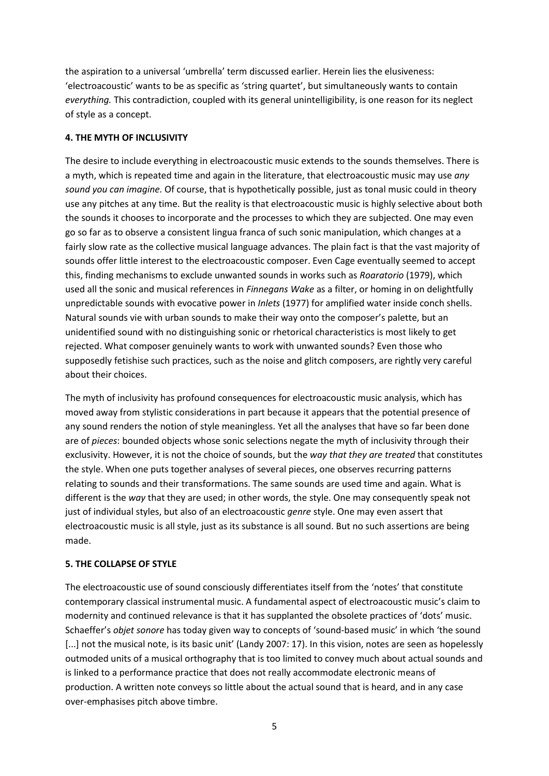the aspiration to a universal 'umbrella' term discussed earlier. Herein lies the elusiveness: 'electroacoustic' wants to be as specific as 'string quartet', but simultaneously wants to contain *everything.* This contradiction, coupled with its general unintelligibility, is one reason for its neglect of style as a concept.

#### **4. THE MYTH OF INCLUSIVITY**

The desire to include everything in electroacoustic music extends to the sounds themselves. There is a myth, which is repeated time and again in the literature, that electroacoustic music may use *any sound you can imagine.* Of course, that is hypothetically possible, just as tonal music could in theory use any pitches at any time. But the reality is that electroacoustic music is highly selective about both the sounds it chooses to incorporate and the processes to which they are subjected. One may even go so far as to observe a consistent lingua franca of such sonic manipulation, which changes at a fairly slow rate as the collective musical language advances. The plain fact is that the vast majority of sounds offer little interest to the electroacoustic composer. Even Cage eventually seemed to accept this, finding mechanisms to exclude unwanted sounds in works such as *Roaratorio* (1979), which used all the sonic and musical references in *Finnegans Wake* as a filter, or homing in on delightfully unpredictable sounds with evocative power in *Inlets* (1977) for amplified water inside conch shells. Natural sounds vie with urban sounds to make their way onto the composer's palette, but an unidentified sound with no distinguishing sonic or rhetorical characteristics is most likely to get rejected. What composer genuinely wants to work with unwanted sounds? Even those who supposedly fetishise such practices, such as the noise and glitch composers, are rightly very careful about their choices.

The myth of inclusivity has profound consequences for electroacoustic music analysis, which has moved away from stylistic considerations in part because it appears that the potential presence of any sound renders the notion of style meaningless. Yet all the analyses that have so far been done are of *pieces*: bounded objects whose sonic selections negate the myth of inclusivity through their exclusivity. However, it is not the choice of sounds, but the *way that they are treated* that constitutes the style. When one puts together analyses of several pieces, one observes recurring patterns relating to sounds and their transformations. The same sounds are used time and again. What is different is the *way* that they are used; in other words, the style. One may consequently speak not just of individual styles, but also of an electroacoustic *genre* style. One may even assert that electroacoustic music is all style, just as its substance is all sound. But no such assertions are being made.

#### **5. THE COLLAPSE OF STYLE**

The electroacoustic use of sound consciously differentiates itself from the 'notes' that constitute contemporary classical instrumental music. A fundamental aspect of electroacoustic music's claim to modernity and continued relevance is that it has supplanted the obsolete practices of 'dots' music. Schaeffer's *objet sonore* has today given way to concepts of 'sound-based music' in which 'the sound [...] not the musical note, is its basic unit' (Landy 2007: 17). In this vision, notes are seen as hopelessly outmoded units of a musical orthography that is too limited to convey much about actual sounds and is linked to a performance practice that does not really accommodate electronic means of production. A written note conveys so little about the actual sound that is heard, and in any case over-emphasises pitch above timbre.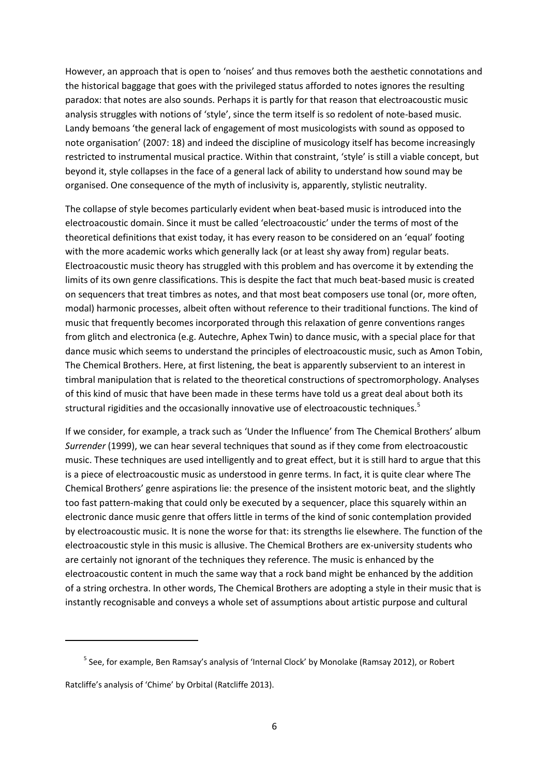However, an approach that is open to 'noises' and thus removes both the aesthetic connotations and the historical baggage that goes with the privileged status afforded to notes ignores the resulting paradox: that notes are also sounds. Perhaps it is partly for that reason that electroacoustic music analysis struggles with notions of 'style', since the term itself is so redolent of note-based music. Landy bemoans 'the general lack of engagement of most musicologists with sound as opposed to note organisation' (2007: 18) and indeed the discipline of musicology itself has become increasingly restricted to instrumental musical practice. Within that constraint, 'style' is still a viable concept, but beyond it, style collapses in the face of a general lack of ability to understand how sound may be organised. One consequence of the myth of inclusivity is, apparently, stylistic neutrality.

The collapse of style becomes particularly evident when beat-based music is introduced into the electroacoustic domain. Since it must be called 'electroacoustic' under the terms of most of the theoretical definitions that exist today, it has every reason to be considered on an 'equal' footing with the more academic works which generally lack (or at least shy away from) regular beats. Electroacoustic music theory has struggled with this problem and has overcome it by extending the limits of its own genre classifications. This is despite the fact that much beat-based music is created on sequencers that treat timbres as notes, and that most beat composers use tonal (or, more often, modal) harmonic processes, albeit often without reference to their traditional functions. The kind of music that frequently becomes incorporated through this relaxation of genre conventions ranges from glitch and electronica (e.g. Autechre, Aphex Twin) to dance music, with a special place for that dance music which seems to understand the principles of electroacoustic music, such as Amon Tobin, The Chemical Brothers. Here, at first listening, the beat is apparently subservient to an interest in timbral manipulation that is related to the theoretical constructions of spectromorphology. Analyses of this kind of music that have been made in these terms have told us a great deal about both its structural rigidities and the occasionally innovative use of electroacoustic techniques.<sup>5</sup>

If we consider, for example, a track such as 'Under the Influence' from The Chemical Brothers' album *Surrender* (1999), we can hear several techniques that sound as if they come from electroacoustic music. These techniques are used intelligently and to great effect, but it is still hard to argue that this is a piece of electroacoustic music as understood in genre terms. In fact, it is quite clear where The Chemical Brothers' genre aspirations lie: the presence of the insistent motoric beat, and the slightly too fast pattern-making that could only be executed by a sequencer, place this squarely within an electronic dance music genre that offers little in terms of the kind of sonic contemplation provided by electroacoustic music. It is none the worse for that: its strengths lie elsewhere. The function of the electroacoustic style in this music is allusive. The Chemical Brothers are ex-university students who are certainly not ignorant of the techniques they reference. The music is enhanced by the electroacoustic content in much the same way that a rock band might be enhanced by the addition of a string orchestra. In other words, The Chemical Brothers are adopting a style in their music that is instantly recognisable and conveys a whole set of assumptions about artistic purpose and cultural

<sup>&</sup>lt;sup>5</sup> See, for example, Ben Ramsay's analysis of 'Internal Clock' by Monolake (Ramsay 2012), or Robert Ratcliffe's analysis of 'Chime' by Orbital (Ratcliffe 2013).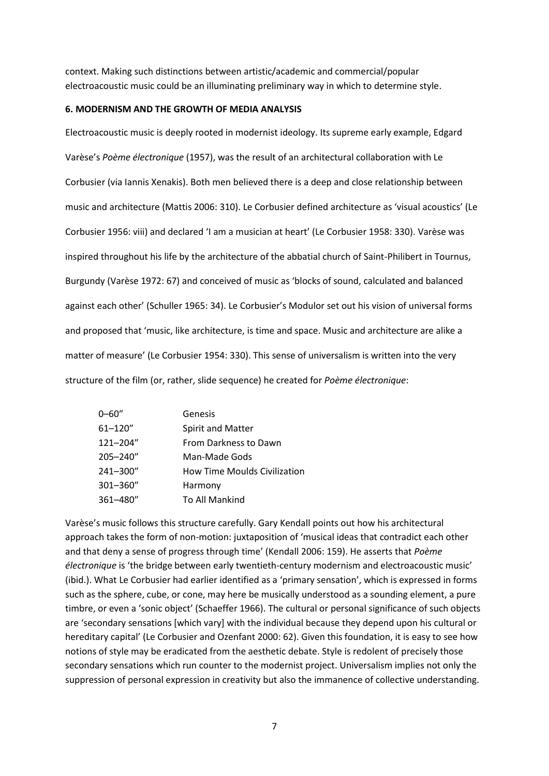context. Making such distinctions between artistic/academic and commercial/popular electroacoustic music could be an illuminating preliminary way in which to determine style.

#### **6. MODERNISM AND THE GROWTH OF MEDIA ANALYSIS**

Electroacoustic music is deeply rooted in modernist ideology. Its supreme early example, Edgard Varèse's *Poème électronique* (1957), was the result of an architectural collaboration with Le Corbusier (via Iannis Xenakis). Both men believed there is a deep and close relationship between music and architecture (Mattis 2006: 310). Le Corbusier defined architecture as 'visual acoustics' (Le Corbusier 1956: viii) and declared 'I am a musician at heart' (Le Corbusier 1958: 330). Varèse was inspired throughout his life by the architecture of the abbatial church of Saint-Philibert in Tournus, Burgundy (Varèse 1972: 67) and conceived of music as 'blocks of sound, calculated and balanced against each other' (Schuller 1965: 34). Le Corbusier's Modulor set out his vision of universal forms and proposed that 'music, like architecture, is time and space. Music and architecture are alike a matter of measure' (Le Corbusier 1954: 330). This sense of universalism is written into the very structure of the film (or, rather, slide sequence) he created for *Poème électronique*:

| $0 - 60''$    | Genesis                             |
|---------------|-------------------------------------|
| $61 - 120''$  | Spirit and Matter                   |
| 121-204"      | From Darkness to Dawn               |
| $205 - 240$ " | Man-Made Gods                       |
| 241-300"      | <b>How Time Moulds Civilization</b> |
| 301-360"      | Harmony                             |
| $361 - 480$ " | To All Mankind                      |

Varèse's music follows this structure carefully. Gary Kendall points out how his architectural approach takes the form of non-motion: juxtaposition of 'musical ideas that contradict each other and that deny a sense of progress through time' (Kendall 2006: 159). He asserts that *Poème électronique* is 'the bridge between early twentieth-century modernism and electroacoustic music' (ibid.). What Le Corbusier had earlier identified as a 'primary sensation', which is expressed in forms such as the sphere, cube, or cone, may here be musically understood as a sounding element, a pure timbre, or even a 'sonic object' (Schaeffer 1966). The cultural or personal significance of such objects are 'secondary sensations [which vary] with the individual because they depend upon his cultural or hereditary capital' (Le Corbusier and Ozenfant 2000: 62). Given this foundation, it is easy to see how notions of style may be eradicated from the aesthetic debate. Style is redolent of precisely those secondary sensations which run counter to the modernist project. Universalism implies not only the suppression of personal expression in creativity but also the immanence of collective understanding.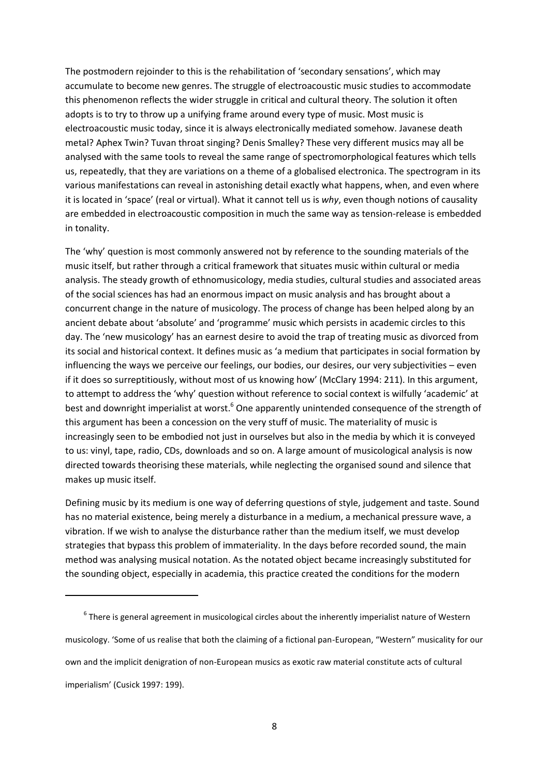The postmodern rejoinder to this is the rehabilitation of 'secondary sensations', which may accumulate to become new genres. The struggle of electroacoustic music studies to accommodate this phenomenon reflects the wider struggle in critical and cultural theory. The solution it often adopts is to try to throw up a unifying frame around every type of music. Most music is electroacoustic music today, since it is always electronically mediated somehow. Javanese death metal? Aphex Twin? Tuvan throat singing? Denis Smalley? These very different musics may all be analysed with the same tools to reveal the same range of spectromorphological features which tells us, repeatedly, that they are variations on a theme of a globalised electronica. The spectrogram in its various manifestations can reveal in astonishing detail exactly what happens, when, and even where it is located in 'space' (real or virtual). What it cannot tell us is *why*, even though notions of causality are embedded in electroacoustic composition in much the same way as tension-release is embedded in tonality.

The 'why' question is most commonly answered not by reference to the sounding materials of the music itself, but rather through a critical framework that situates music within cultural or media analysis. The steady growth of ethnomusicology, media studies, cultural studies and associated areas of the social sciences has had an enormous impact on music analysis and has brought about a concurrent change in the nature of musicology. The process of change has been helped along by an ancient debate about 'absolute' and 'programme' music which persists in academic circles to this day. The 'new musicology' has an earnest desire to avoid the trap of treating music as divorced from its social and historical context. It defines music as 'a medium that participates in social formation by influencing the ways we perceive our feelings, our bodies, our desires, our very subjectivities – even if it does so surreptitiously, without most of us knowing how' (McClary 1994: 211). In this argument, to attempt to address the 'why' question without reference to social context is wilfully 'academic' at best and downright imperialist at worst.<sup>6</sup> One apparently unintended consequence of the strength of this argument has been a concession on the very stuff of music. The materiality of music is increasingly seen to be embodied not just in ourselves but also in the media by which it is conveyed to us: vinyl, tape, radio, CDs, downloads and so on. A large amount of musicological analysis is now directed towards theorising these materials, while neglecting the organised sound and silence that makes up music itself.

Defining music by its medium is one way of deferring questions of style, judgement and taste. Sound has no material existence, being merely a disturbance in a medium, a mechanical pressure wave, a vibration. If we wish to analyse the disturbance rather than the medium itself, we must develop strategies that bypass this problem of immateriality. In the days before recorded sound, the main method was analysing musical notation. As the notated object became increasingly substituted for the sounding object, especially in academia, this practice created the conditions for the modern

1

 $^6$  There is general agreement in musicological circles about the inherently imperialist nature of Western musicology. 'Some of us realise that both the claiming of a fictional pan-European, "Western" musicality for our own and the implicit denigration of non-European musics as exotic raw material constitute acts of cultural imperialism' (Cusick 1997: 199).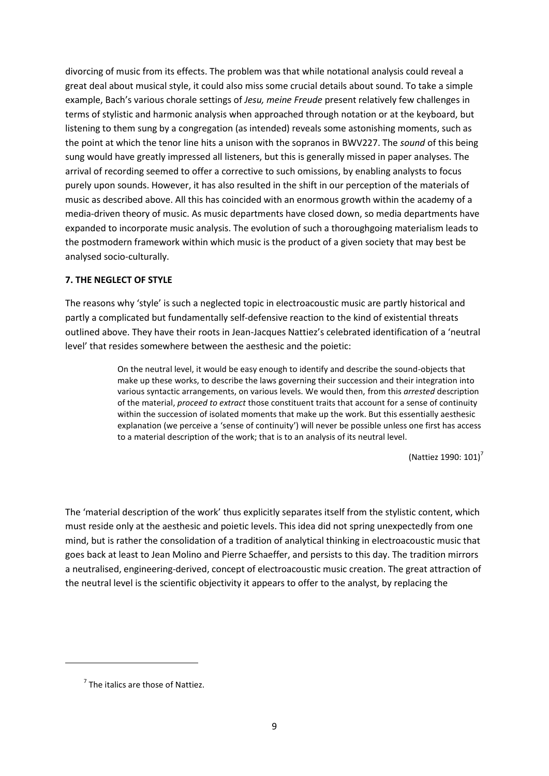divorcing of music from its effects. The problem was that while notational analysis could reveal a great deal about musical style, it could also miss some crucial details about sound. To take a simple example, Bach's various chorale settings of *Jesu, meine Freude* present relatively few challenges in terms of stylistic and harmonic analysis when approached through notation or at the keyboard, but listening to them sung by a congregation (as intended) reveals some astonishing moments, such as the point at which the tenor line hits a unison with the sopranos in BWV227. The *sound* of this being sung would have greatly impressed all listeners, but this is generally missed in paper analyses. The arrival of recording seemed to offer a corrective to such omissions, by enabling analysts to focus purely upon sounds. However, it has also resulted in the shift in our perception of the materials of music as described above. All this has coincided with an enormous growth within the academy of a media-driven theory of music. As music departments have closed down, so media departments have expanded to incorporate music analysis. The evolution of such a thoroughgoing materialism leads to the postmodern framework within which music is the product of a given society that may best be analysed socio-culturally.

#### **7. THE NEGLECT OF STYLE**

The reasons why 'style' is such a neglected topic in electroacoustic music are partly historical and partly a complicated but fundamentally self-defensive reaction to the kind of existential threats outlined above. They have their roots in Jean-Jacques Nattiez's celebrated identification of a 'neutral level' that resides somewhere between the aesthesic and the poietic:

> On the neutral level, it would be easy enough to identify and describe the sound-objects that make up these works, to describe the laws governing their succession and their integration into various syntactic arrangements, on various levels. We would then, from this *arrested* description of the material, *proceed to extract* those constituent traits that account for a sense of continuity within the succession of isolated moments that make up the work. But this essentially aesthesic explanation (we perceive a 'sense of continuity') will never be possible unless one first has access to a material description of the work; that is to an analysis of its neutral level.

> > (Nattiez 1990: 101)<sup>7</sup>

The 'material description of the work' thus explicitly separates itself from the stylistic content, which must reside only at the aesthesic and poietic levels. This idea did not spring unexpectedly from one mind, but is rather the consolidation of a tradition of analytical thinking in electroacoustic music that goes back at least to Jean Molino and Pierre Schaeffer, and persists to this day. The tradition mirrors a neutralised, engineering-derived, concept of electroacoustic music creation. The great attraction of the neutral level is the scientific objectivity it appears to offer to the analyst, by replacing the

 $<sup>7</sup>$  The italics are those of Nattiez.</sup>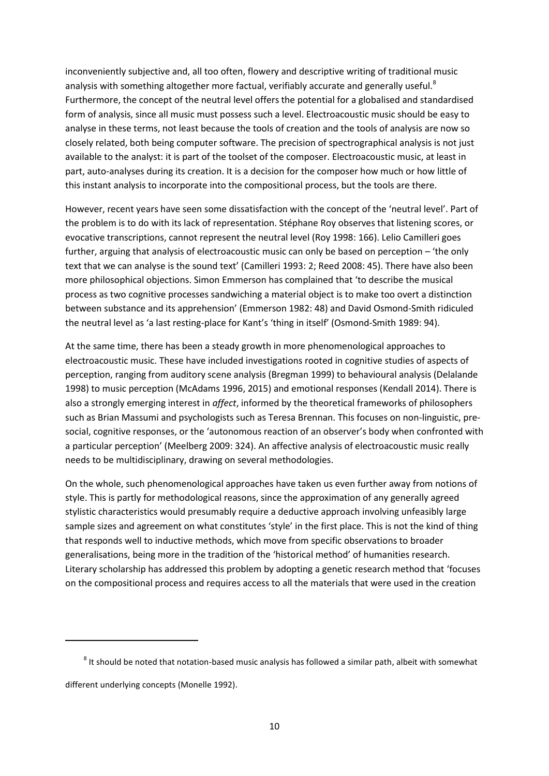inconveniently subjective and, all too often, flowery and descriptive writing of traditional music analysis with something altogether more factual, verifiably accurate and generally useful.<sup>8</sup> Furthermore, the concept of the neutral level offers the potential for a globalised and standardised form of analysis, since all music must possess such a level. Electroacoustic music should be easy to analyse in these terms, not least because the tools of creation and the tools of analysis are now so closely related, both being computer software. The precision of spectrographical analysis is not just available to the analyst: it is part of the toolset of the composer. Electroacoustic music, at least in part, auto-analyses during its creation. It is a decision for the composer how much or how little of this instant analysis to incorporate into the compositional process, but the tools are there.

However, recent years have seen some dissatisfaction with the concept of the 'neutral level'. Part of the problem is to do with its lack of representation. Stéphane Roy observes that listening scores, or evocative transcriptions, cannot represent the neutral level (Roy 1998: 166). Lelio Camilleri goes further, arguing that analysis of electroacoustic music can only be based on perception – 'the only text that we can analyse is the sound text' (Camilleri 1993: 2; Reed 2008: 45). There have also been more philosophical objections. Simon Emmerson has complained that 'to describe the musical process as two cognitive processes sandwiching a material object is to make too overt a distinction between substance and its apprehension' (Emmerson 1982: 48) and David Osmond-Smith ridiculed the neutral level as 'a last resting-place for Kant's 'thing in itself' (Osmond-Smith 1989: 94).

At the same time, there has been a steady growth in more phenomenological approaches to electroacoustic music. These have included investigations rooted in cognitive studies of aspects of perception, ranging from auditory scene analysis (Bregman 1999) to behavioural analysis (Delalande 1998) to music perception (McAdams 1996, 2015) and emotional responses (Kendall 2014). There is also a strongly emerging interest in *affect*, informed by the theoretical frameworks of philosophers such as Brian Massumi and psychologists such as Teresa Brennan. This focuses on non-linguistic, presocial, cognitive responses, or the 'autonomous reaction of an observer's body when confronted with a particular perception' (Meelberg 2009: 324). An affective analysis of electroacoustic music really needs to be multidisciplinary, drawing on several methodologies.

On the whole, such phenomenological approaches have taken us even further away from notions of style. This is partly for methodological reasons, since the approximation of any generally agreed stylistic characteristics would presumably require a deductive approach involving unfeasibly large sample sizes and agreement on what constitutes 'style' in the first place. This is not the kind of thing that responds well to inductive methods, which move from specific observations to broader generalisations, being more in the tradition of the 'historical method' of humanities research. Literary scholarship has addressed this problem by adopting a genetic research method that 'focuses on the compositional process and requires access to all the materials that were used in the creation

 $^8$  It should be noted that notation-based music analysis has followed a similar path, albeit with somewhat different underlying concepts (Monelle 1992).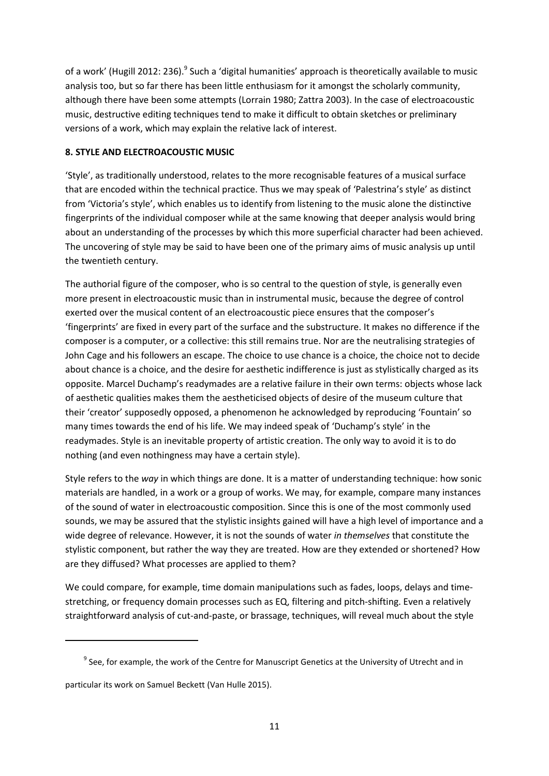of a work' (Hugill 2012: 236).<sup>9</sup> Such a 'digital humanities' approach is theoretically available to music analysis too, but so far there has been little enthusiasm for it amongst the scholarly community, although there have been some attempts (Lorrain 1980; Zattra 2003). In the case of electroacoustic music, destructive editing techniques tend to make it difficult to obtain sketches or preliminary versions of a work, which may explain the relative lack of interest.

#### **8. STYLE AND ELECTROACOUSTIC MUSIC**

**.** 

'Style', as traditionally understood, relates to the more recognisable features of a musical surface that are encoded within the technical practice. Thus we may speak of 'Palestrina's style' as distinct from 'Victoria's style', which enables us to identify from listening to the music alone the distinctive fingerprints of the individual composer while at the same knowing that deeper analysis would bring about an understanding of the processes by which this more superficial character had been achieved. The uncovering of style may be said to have been one of the primary aims of music analysis up until the twentieth century.

The authorial figure of the composer, who is so central to the question of style, is generally even more present in electroacoustic music than in instrumental music, because the degree of control exerted over the musical content of an electroacoustic piece ensures that the composer's 'fingerprints' are fixed in every part of the surface and the substructure. It makes no difference if the composer is a computer, or a collective: this still remains true. Nor are the neutralising strategies of John Cage and his followers an escape. The choice to use chance is a choice, the choice not to decide about chance is a choice, and the desire for aesthetic indifference is just as stylistically charged as its opposite. Marcel Duchamp's readymades are a relative failure in their own terms: objects whose lack of aesthetic qualities makes them the aestheticised objects of desire of the museum culture that their 'creator' supposedly opposed, a phenomenon he acknowledged by reproducing 'Fountain' so many times towards the end of his life. We may indeed speak of 'Duchamp's style' in the readymades. Style is an inevitable property of artistic creation. The only way to avoid it is to do nothing (and even nothingness may have a certain style).

Style refers to the *way* in which things are done. It is a matter of understanding technique: how sonic materials are handled, in a work or a group of works. We may, for example, compare many instances of the sound of water in electroacoustic composition. Since this is one of the most commonly used sounds, we may be assured that the stylistic insights gained will have a high level of importance and a wide degree of relevance. However, it is not the sounds of water *in themselves* that constitute the stylistic component, but rather the way they are treated. How are they extended or shortened? How are they diffused? What processes are applied to them?

We could compare, for example, time domain manipulations such as fades, loops, delays and timestretching, or frequency domain processes such as EQ, filtering and pitch-shifting. Even a relatively straightforward analysis of cut-and-paste, or brassage, techniques, will reveal much about the style

 $^9$  See, for example, the work of the Centre for Manuscript Genetics at the University of Utrecht and in particular its work on Samuel Beckett (Van Hulle 2015).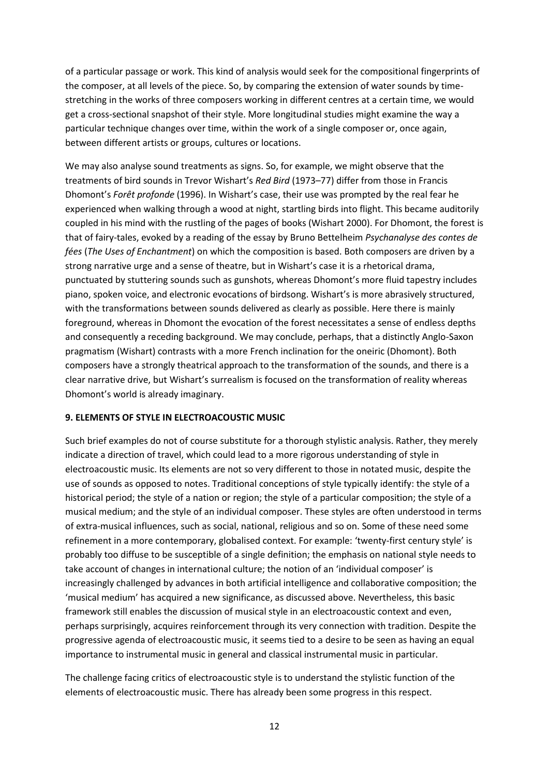of a particular passage or work. This kind of analysis would seek for the compositional fingerprints of the composer, at all levels of the piece. So, by comparing the extension of water sounds by timestretching in the works of three composers working in different centres at a certain time, we would get a cross-sectional snapshot of their style. More longitudinal studies might examine the way a particular technique changes over time, within the work of a single composer or, once again, between different artists or groups, cultures or locations.

We may also analyse sound treatments as signs. So, for example, we might observe that the treatments of bird sounds in Trevor Wishart's *Red Bird* (1973–77) differ from those in Francis Dhomont's *Forêt profonde* (1996). In Wishart's case, their use was prompted by the real fear he experienced when walking through a wood at night, startling birds into flight. This became auditorily coupled in his mind with the rustling of the pages of books (Wishart 2000). For Dhomont, the forest is that of fairy-tales, evoked by a reading of the essay by Bruno Bettelheim *Psychanalyse des contes de fées* (*The Uses of Enchantment*) on which the composition is based. Both composers are driven by a strong narrative urge and a sense of theatre, but in Wishart's case it is a rhetorical drama, punctuated by stuttering sounds such as gunshots, whereas Dhomont's more fluid tapestry includes piano, spoken voice, and electronic evocations of birdsong. Wishart's is more abrasively structured, with the transformations between sounds delivered as clearly as possible. Here there is mainly foreground, whereas in Dhomont the evocation of the forest necessitates a sense of endless depths and consequently a receding background. We may conclude, perhaps, that a distinctly Anglo-Saxon pragmatism (Wishart) contrasts with a more French inclination for the oneiric (Dhomont). Both composers have a strongly theatrical approach to the transformation of the sounds, and there is a clear narrative drive, but Wishart's surrealism is focused on the transformation of reality whereas Dhomont's world is already imaginary.

#### **9. ELEMENTS OF STYLE IN ELECTROACOUSTIC MUSIC**

Such brief examples do not of course substitute for a thorough stylistic analysis. Rather, they merely indicate a direction of travel, which could lead to a more rigorous understanding of style in electroacoustic music. Its elements are not so very different to those in notated music, despite the use of sounds as opposed to notes. Traditional conceptions of style typically identify: the style of a historical period; the style of a nation or region; the style of a particular composition; the style of a musical medium; and the style of an individual composer. These styles are often understood in terms of extra-musical influences, such as social, national, religious and so on. Some of these need some refinement in a more contemporary, globalised context. For example: 'twenty-first century style' is probably too diffuse to be susceptible of a single definition; the emphasis on national style needs to take account of changes in international culture; the notion of an 'individual composer' is increasingly challenged by advances in both artificial intelligence and collaborative composition; the 'musical medium' has acquired a new significance, as discussed above. Nevertheless, this basic framework still enables the discussion of musical style in an electroacoustic context and even, perhaps surprisingly, acquires reinforcement through its very connection with tradition. Despite the progressive agenda of electroacoustic music, it seems tied to a desire to be seen as having an equal importance to instrumental music in general and classical instrumental music in particular.

The challenge facing critics of electroacoustic style is to understand the stylistic function of the elements of electroacoustic music. There has already been some progress in this respect.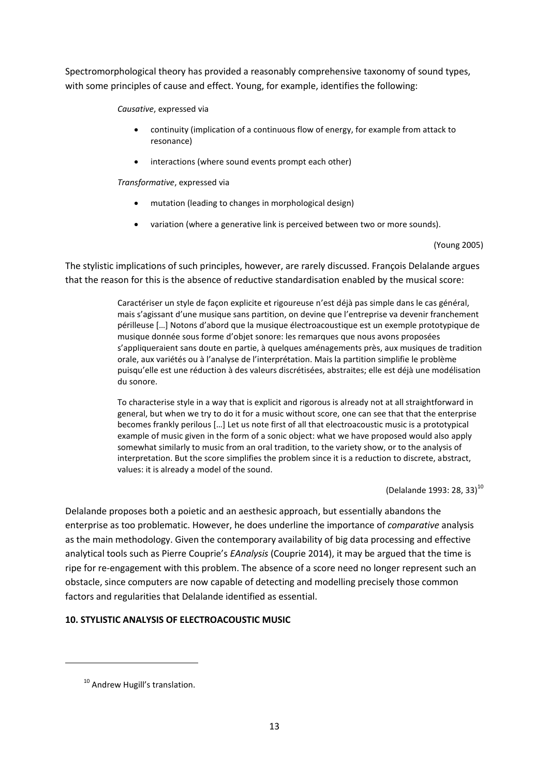Spectromorphological theory has provided a reasonably comprehensive taxonomy of sound types, with some principles of cause and effect. Young, for example, identifies the following:

*Causative*, expressed via

- continuity (implication of a continuous flow of energy, for example from attack to resonance)
- interactions (where sound events prompt each other)

*Transformative*, expressed via

- mutation (leading to changes in morphological design)
- variation (where a generative link is perceived between two or more sounds).

(Young 2005)

The stylistic implications of such principles, however, are rarely discussed. François Delalande argues that the reason for this is the absence of reductive standardisation enabled by the musical score:

> Caractériser un style de façon explicite et rigoureuse n'est déjà pas simple dans le cas général, mais s'agissant d'une musique sans partition, on devine que l'entreprise va devenir franchement périlleuse […] Notons d'abord que la musique électroacoustique est un exemple prototypique de musique donnée sous forme d'objet sonore: les remarques que nous avons proposées s'appliqueraient sans doute en partie, à quelques aménagements près, aux musiques de tradition orale, aux variétés ou à l'analyse de l'interprétation. Mais la partition simplifie le problème puisqu'elle est une réduction à des valeurs discrétisées, abstraites; elle est déjà une modélisation du sonore.

To characterise style in a way that is explicit and rigorous is already not at all straightforward in general, but when we try to do it for a music without score, one can see that that the enterprise becomes frankly perilous […] Let us note first of all that electroacoustic music is a prototypical example of music given in the form of a sonic object: what we have proposed would also apply somewhat similarly to music from an oral tradition, to the variety show, or to the analysis of interpretation. But the score simplifies the problem since it is a reduction to discrete, abstract, values: it is already a model of the sound.

(Delalande 1993: 28, 33)<sup>10</sup>

Delalande proposes both a poietic and an aesthesic approach, but essentially abandons the enterprise as too problematic. However, he does underline the importance of *comparative* analysis as the main methodology. Given the contemporary availability of big data processing and effective analytical tools such as Pierre Couprie's *EAnalysis* (Couprie 2014), it may be argued that the time is ripe for re-engagement with this problem. The absence of a score need no longer represent such an obstacle, since computers are now capable of detecting and modelling precisely those common factors and regularities that Delalande identified as essential.

#### **10. STYLISTIC ANALYSIS OF ELECTROACOUSTIC MUSIC**

<sup>&</sup>lt;sup>10</sup> Andrew Hugill's translation.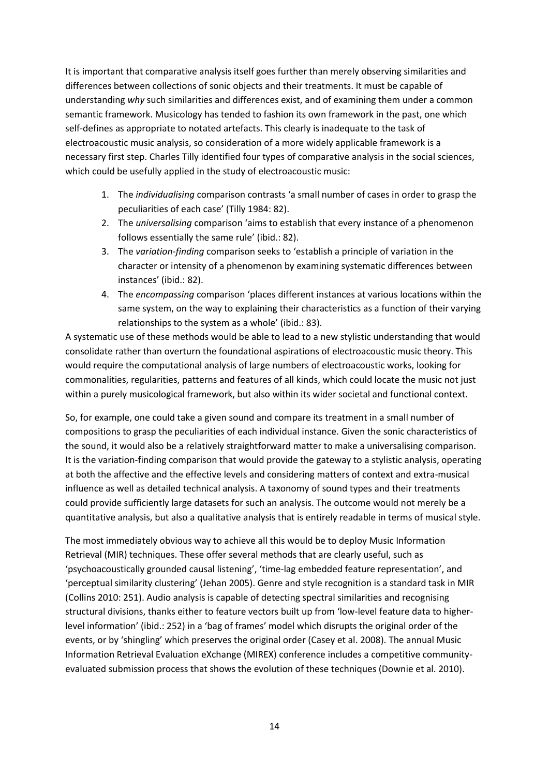It is important that comparative analysis itself goes further than merely observing similarities and differences between collections of sonic objects and their treatments. It must be capable of understanding *why* such similarities and differences exist, and of examining them under a common semantic framework. Musicology has tended to fashion its own framework in the past, one which self-defines as appropriate to notated artefacts. This clearly is inadequate to the task of electroacoustic music analysis, so consideration of a more widely applicable framework is a necessary first step. Charles Tilly identified four types of comparative analysis in the social sciences, which could be usefully applied in the study of electroacoustic music:

- 1. The *individualising* comparison contrasts 'a small number of cases in order to grasp the peculiarities of each case' (Tilly 1984: 82).
- 2. The *universalising* comparison 'aims to establish that every instance of a phenomenon follows essentially the same rule' (ibid.: 82).
- 3. The *variation-finding* comparison seeks to 'establish a principle of variation in the character or intensity of a phenomenon by examining systematic differences between instances' (ibid.: 82).
- 4. The *encompassing* comparison 'places different instances at various locations within the same system, on the way to explaining their characteristics as a function of their varying relationships to the system as a whole' (ibid.: 83).

A systematic use of these methods would be able to lead to a new stylistic understanding that would consolidate rather than overturn the foundational aspirations of electroacoustic music theory. This would require the computational analysis of large numbers of electroacoustic works, looking for commonalities, regularities, patterns and features of all kinds, which could locate the music not just within a purely musicological framework, but also within its wider societal and functional context.

So, for example, one could take a given sound and compare its treatment in a small number of compositions to grasp the peculiarities of each individual instance. Given the sonic characteristics of the sound, it would also be a relatively straightforward matter to make a universalising comparison. It is the variation-finding comparison that would provide the gateway to a stylistic analysis, operating at both the affective and the effective levels and considering matters of context and extra-musical influence as well as detailed technical analysis. A taxonomy of sound types and their treatments could provide sufficiently large datasets for such an analysis. The outcome would not merely be a quantitative analysis, but also a qualitative analysis that is entirely readable in terms of musical style.

The most immediately obvious way to achieve all this would be to deploy Music Information Retrieval (MIR) techniques. These offer several methods that are clearly useful, such as 'psychoacoustically grounded causal listening', 'time-lag embedded feature representation', and 'perceptual similarity clustering' (Jehan 2005). Genre and style recognition is a standard task in MIR (Collins 2010: 251). Audio analysis is capable of detecting spectral similarities and recognising structural divisions, thanks either to feature vectors built up from 'low-level feature data to higherlevel information' (ibid.: 252) in a 'bag of frames' model which disrupts the original order of the events, or by 'shingling' which preserves the original order (Casey et al. 2008). The annual Music Information Retrieval Evaluation eXchange (MIREX) conference includes a competitive communityevaluated submission process that shows the evolution of these techniques (Downie et al. 2010).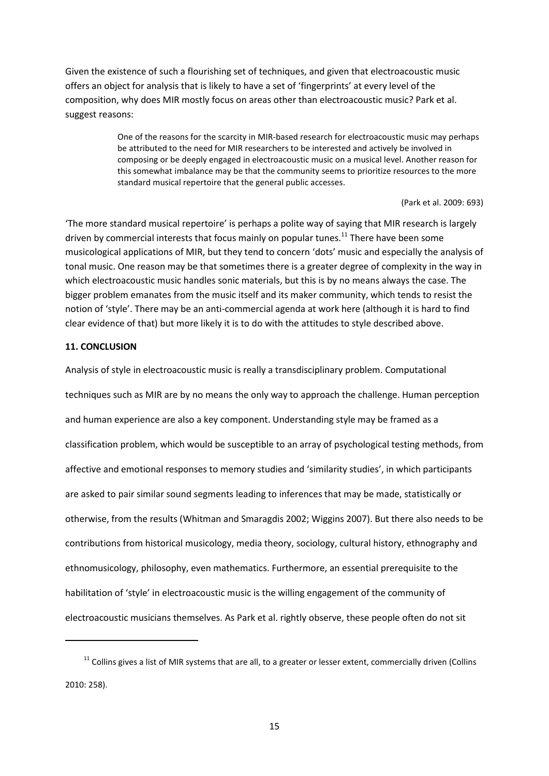Given the existence of such a flourishing set of techniques, and given that electroacoustic music offers an object for analysis that is likely to have a set of 'fingerprints' at every level of the composition, why does MIR mostly focus on areas other than electroacoustic music? Park et al. suggest reasons:

> One of the reasons for the scarcity in MIR-based research for electroacoustic music may perhaps be attributed to the need for MIR researchers to be interested and actively be involved in composing or be deeply engaged in electroacoustic music on a musical level. Another reason for this somewhat imbalance may be that the community seems to prioritize resources to the more standard musical repertoire that the general public accesses.

> > (Park et al. 2009: 693)

'The more standard musical repertoire' is perhaps a polite way of saying that MIR research is largely driven by commercial interests that focus mainly on popular tunes.<sup>11</sup> There have been some musicological applications of MIR, but they tend to concern 'dots' music and especially the analysis of tonal music. One reason may be that sometimes there is a greater degree of complexity in the way in which electroacoustic music handles sonic materials, but this is by no means always the case. The bigger problem emanates from the music itself and its maker community, which tends to resist the notion of 'style'. There may be an anti-commercial agenda at work here (although it is hard to find clear evidence of that) but more likely it is to do with the attitudes to style described above.

#### **11. CONCLUSION**

**.** 

Analysis of style in electroacoustic music is really a transdisciplinary problem. Computational

techniques such as MIR are by no means the only way to approach the challenge. Human perception and human experience are also a key component. Understanding style may be framed as a classification problem, which would be susceptible to an array of psychological testing methods, from affective and emotional responses to memory studies and 'similarity studies', in which participants are asked to pair similar sound segments leading to inferences that may be made, statistically or otherwise, from the results (Whitman and Smaragdis 2002; Wiggins 2007). But there also needs to be contributions from historical musicology, media theory, sociology, cultural history, ethnography and ethnomusicology, philosophy, even mathematics. Furthermore, an essential prerequisite to the habilitation of 'style' in electroacoustic music is the willing engagement of the community of electroacoustic musicians themselves. As Park et al. rightly observe, these people often do not sit

 $11$  Collins gives a list of MIR systems that are all, to a greater or lesser extent, commercially driven (Collins 2010: 258).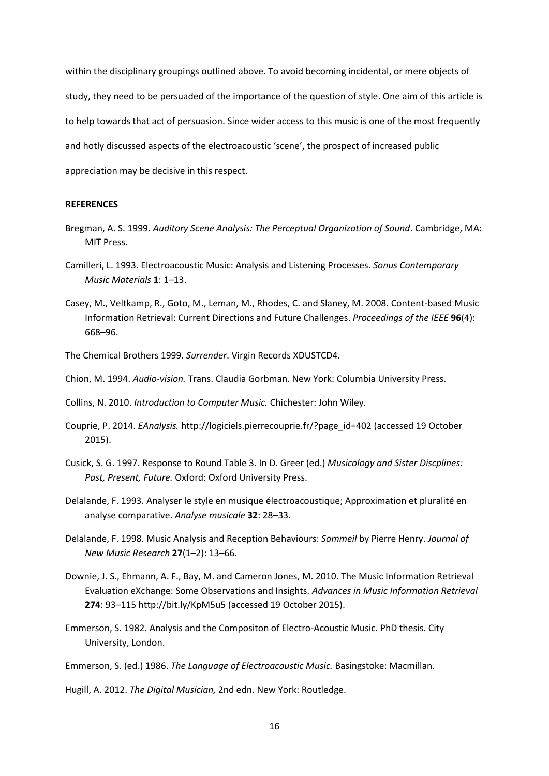within the disciplinary groupings outlined above. To avoid becoming incidental, or mere objects of study, they need to be persuaded of the importance of the question of style. One aim of this article is to help towards that act of persuasion. Since wider access to this music is one of the most frequently and hotly discussed aspects of the electroacoustic 'scene', the prospect of increased public appreciation may be decisive in this respect.

#### **REFERENCES**

- Bregman, A. S. 1999. *Auditory Scene Analysis: The Perceptual Organization of Sound*. Cambridge, MA: MIT Press.
- Camilleri, L. 1993. Electroacoustic Music: Analysis and Listening Processes. *Sonus Contemporary Music Materials* **1**: 1–13.
- Casey, M., Veltkamp, R., Goto, M., Leman, M., Rhodes, C. and Slaney, M. 2008. Content-based Music Information Retrieval: Current Directions and Future Challenges. *Proceedings of the IEEE* **96**(4): 668–96.
- The Chemical Brothers 1999. *Surrender*. Virgin Records XDUSTCD4.

Chion, M. 1994. *Audio-vision.* Trans. Claudia Gorbman. New York: Columbia University Press.

- Collins, N. 2010. *Introduction to Computer Music.* Chichester: John Wiley.
- Couprie, P. 2014. *EAnalysis.* [http://logiciels.pierrecouprie.fr/?page\\_id=402](http://logiciels.pierrecouprie.fr/?page_id=402) (accessed 19 October 2015).
- Cusick, S. G. 1997. Response to Round Table 3. In D. Greer (ed.) *Musicology and Sister Discplines: Past, Present, Future.* Oxford: Oxford University Press.
- Delalande, F. 1993. Analyser le style en musique électroacoustique; Approximation et pluralité en analyse comparative. *Analyse musicale* **32**: 28–33.
- Delalande, F. 1998. Music Analysis and Reception Behaviours: *Sommeil* by Pierre Henry. *Journal of New Music Research* **27**(1–2): 13–66.
- Downie, J. S., Ehmann, A. F., Bay, M. and Cameron Jones, M. 2010. The Music Information Retrieval Evaluation eXchange: Some Observations and Insights. *Advances in Music Information Retrieval* **274**: 93–115<http://bit.ly/KpM5u5> (accessed 19 October 2015).
- Emmerson, S. 1982. Analysis and the Compositon of Electro-Acoustic Music. PhD thesis. City University, London.

Emmerson, S. (ed.) 1986. *The Language of Electroacoustic Music.* Basingstoke: Macmillan.

Hugill, A. 2012. *The Digital Musician,* 2nd edn. New York: Routledge.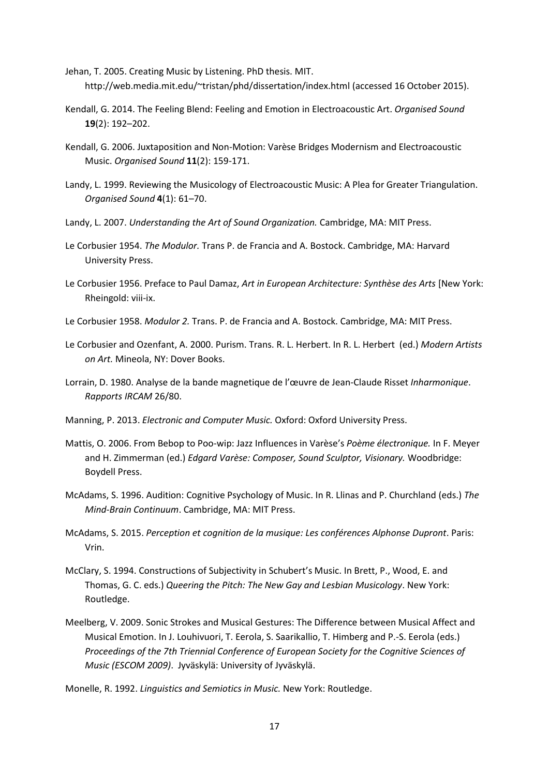- Jehan, T. 2005. Creating Music by Listening. PhD thesis. MIT. <http://web.media.mit.edu/~tristan/phd/dissertation/index.html> (accessed 16 October 2015).
- Kendall, G. 2014. The Feeling Blend: Feeling and Emotion in Electroacoustic Art. *Organised Sound* **19**(2): 192–202.
- Kendall, G. 2006. Juxtaposition and Non-Motion: Varèse Bridges Modernism and Electroacoustic Music. *Organised Sound* **11**(2): 159-171.
- Landy, L. 1999. Reviewing the Musicology of Electroacoustic Music: A Plea for Greater Triangulation. *Organised Sound* **4**(1): 61–70.
- Landy, L. 2007. *Understanding the Art of Sound Organization.* Cambridge, MA: MIT Press.
- Le Corbusier 1954. *The Modulor.* Trans P. de Francia and A. Bostock. Cambridge, MA: Harvard University Press.
- Le Corbusier 1956. Preface to Paul Damaz, *Art in European Architecture: Synthèse des Arts* [New York: Rheingold: viii-ix.
- Le Corbusier 1958. *Modulor 2.* Trans. P. de Francia and A. Bostock. Cambridge, MA: MIT Press.
- Le Corbusier and Ozenfant, A. 2000. Purism. Trans. R. L. Herbert. In R. L. Herbert (ed.) *Modern Artists on Art.* Mineola, NY: Dover Books.
- Lorrain, D. 1980. Analyse de la bande magnetique de l'œuvre de Jean-Claude Risset *Inharmonique*. *Rapports IRCAM* 26/80.
- Manning, P. 2013. *Electronic and Computer Music.* Oxford: Oxford University Press.
- Mattis, O. 2006. From Bebop to Poo-wip: Jazz Influences in Varèse's *Poème électronique.* In F. Meyer and H. Zimmerman (ed.) *Edgard Varèse: Composer, Sound Sculptor, Visionary.* Woodbridge: Boydell Press.
- McAdams, S. 1996. Audition: Cognitive Psychology of Music. In R. Llinas and P. Churchland (eds.) *The Mind-Brain Continuum*. Cambridge, MA: MIT Press.
- McAdams, S. 2015. *Perception et cognition de la musique: Les conférences Alphonse Dupront*. Paris: Vrin.
- McClary, S. 1994. Constructions of Subjectivity in Schubert's Music. In Brett, P., Wood, E. and Thomas, G. C. eds.) *Queering the Pitch: The New Gay and Lesbian Musicology*. New York: Routledge.
- Meelberg, V. 2009. Sonic Strokes and Musical Gestures: The Difference between Musical Affect and Musical Emotion. In J. Louhivuori, T. Eerola, S. Saarikallio, T. Himberg and P.-S. Eerola (eds.) *Proceedings of the 7th Triennial Conference of European Society for the Cognitive Sciences of Music (ESCOM 2009)*. Jyväskylä: University of Jyväskylä.
- Monelle, R. 1992. *Linguistics and Semiotics in Music.* New York: Routledge.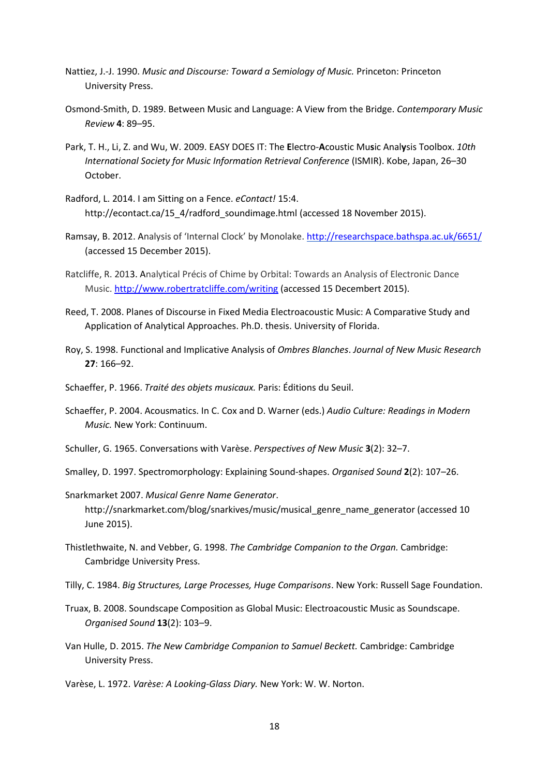- Nattiez, J.-J. 1990. *Music and Discourse: Toward a Semiology of Music.* Princeton: Princeton University Press.
- Osmond-Smith, D. 1989. Between Music and Language: A View from the Bridge. *Contemporary Music Review* **4**: 89–95.
- Park, T. H., Li, Z. and Wu, W. 2009. EASY DOES IT: The **E**lectro-**A**coustic Mu**s**ic Anal**y**sis Toolbox. *10th International Society for Music Information Retrieval Conference* (ISMIR). Kobe, Japan, 26–30 October.
- Radford, L. 2014. I am Sitting on a Fence. *eContact!* 15:4. [http://econtact.ca/15\\_4/radford\\_soundimage.html](http://econtact.ca/15_4/radford_soundimage.html) (accessed 18 November 2015).
- Ramsay, B. 2012. Analysis of 'Internal Clock' by Monolake[. http://researchspace.bathspa.ac.uk/6651/](http://researchspace.bathspa.ac.uk/6651/) (accessed 15 December 2015).
- Ratcliffe, R. 2013. Analytical Précis of Chime by Orbital: Towards an Analysis of Electronic Dance Music.<http://www.robertratcliffe.com/writing> (accessed 15 Decembert 2015).
- Reed, T. 2008. Planes of Discourse in Fixed Media Electroacoustic Music: A Comparative Study and Application of Analytical Approaches. Ph.D. thesis. University of Florida.
- Roy, S. 1998. Functional and Implicative Analysis of *Ombres Blanches*. *Journal of New Music Research*  **27**: 166–92.
- Schaeffer, P. 1966. *Traité des objets musicaux.* Paris: Éditions du Seuil.
- Schaeffer, P. 2004. Acousmatics. In C. Cox and D. Warner (eds.) *Audio Culture: Readings in Modern Music.* New York: Continuum.
- Schuller, G. 1965. Conversations with Varèse. *Perspectives of New Music* **3**(2): 32–7.
- Smalley, D. 1997. Spectromorphology: Explaining Sound-shapes. *Organised Sound* **2**(2): 107–26.
- Snarkmarket 2007. *Musical Genre Name Generator*. http://snarkmarket.com/blog/snarkives/music/musical\_genre\_name\_generator (accessed 10 June 2015).
- Thistlethwaite, N. and Vebber, G. 1998. *The Cambridge Companion to the Organ.* Cambridge: Cambridge University Press.
- Tilly, C. 1984. *Big Structures, Large Processes, Huge Comparisons*. New York: Russell Sage Foundation.
- Truax, B. 2008. Soundscape Composition as Global Music: Electroacoustic Music as Soundscape. *Organised Sound* **13**(2): 103–9.
- Van Hulle, D. 2015. *The New Cambridge Companion to Samuel Beckett.* Cambridge: Cambridge University Press.
- Varèse, L. 1972. *Varèse: A Looking-Glass Diary.* New York: W. W. Norton.